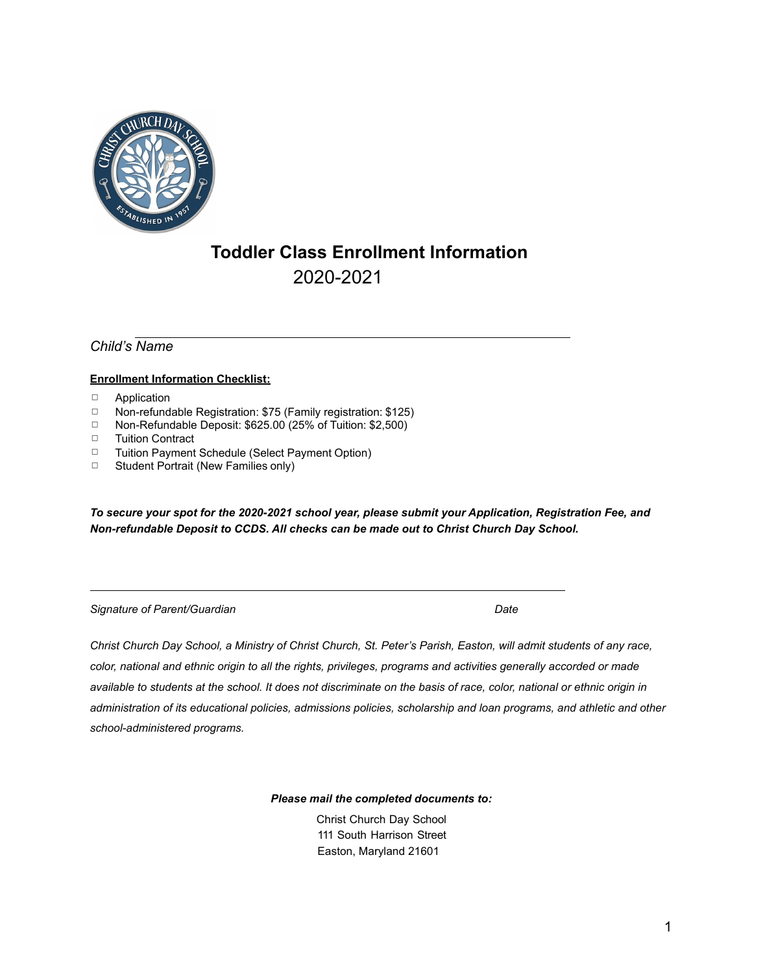

# **Toddler Class Enrollment Information**  2020-2021

*Child's Name* 

### **Enrollment Information Checklist:**

- 䡦 Application
- 䡦 Non-refundable Registration: \$75 (Family registration: \$125)
- 䡦 Non-Refundable Deposit: \$625.00 (25% of Tuition: \$2,500)
- 䡦 Tuition Contract
- 䡦 Tuition Payment Schedule (Select Payment Option)
- $\Box$  Student Portrait (New Families only)

*To secure your spot for the 2020-2021 school year, please submit your Application, Registration Fee, and Non-refundable Deposit to CCDS. All checks can be made out to Christ Church Day School.* 

**Signature** of Parent/Guardian **Date** *Date* **Date Date Date** 

*Christ Church Day School, a Ministry of Christ Church, St. Peter's Parish, Easton, will admit students of any race, color, national and ethnic origin to all the rights, privileges, programs and activities generally accorded or made available to students at the school. It does not discriminate on the basis of race, color, national or ethnic origin in administration of its educational policies, admissions policies, scholarship and loan programs, and athletic and other school-administered programs.* 

*Please mail the completed documents to:* 

Christ Church Day School 111 South Harrison Street Easton, Maryland 21601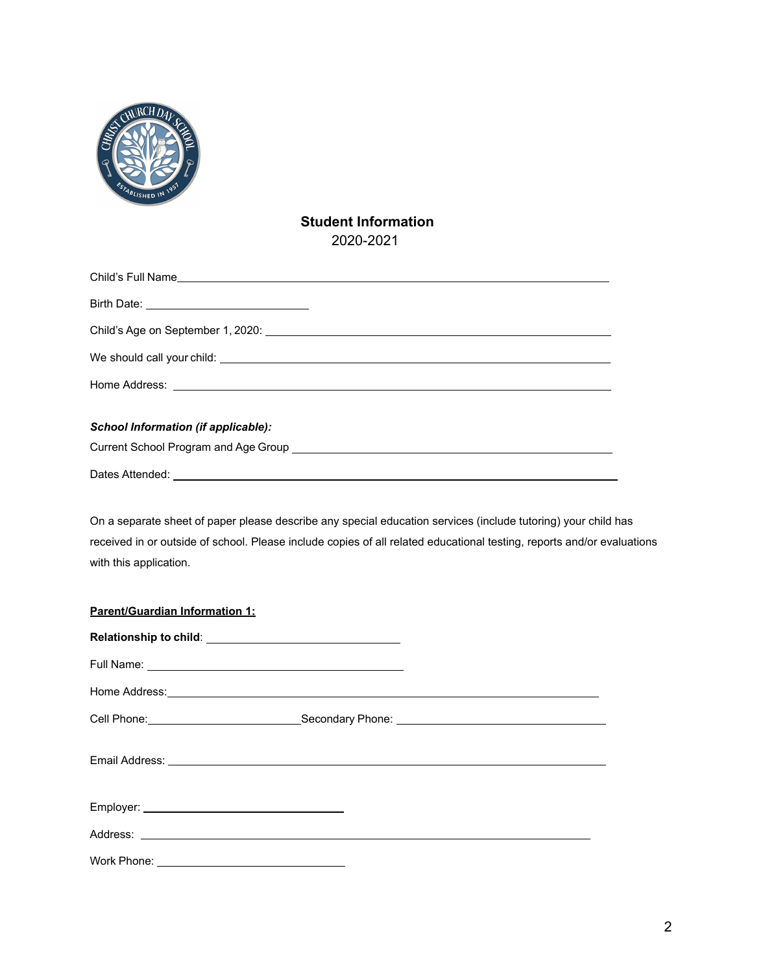

### **Student Information**  2020-2021

| <b>School Information (if applicable):</b> |  |
|--------------------------------------------|--|
|                                            |  |
| Dates Attended:                            |  |

On a separate sheet of paper please describe any special education services (include tutoring) your child has received in or outside of school. Please include copies of all related educational testing, reports and/or evaluations with this application.

| Parent/Guardian Information 1: |  |  |
|--------------------------------|--|--|
|                                |  |  |
|                                |  |  |
|                                |  |  |
|                                |  |  |
|                                |  |  |
|                                |  |  |
|                                |  |  |
|                                |  |  |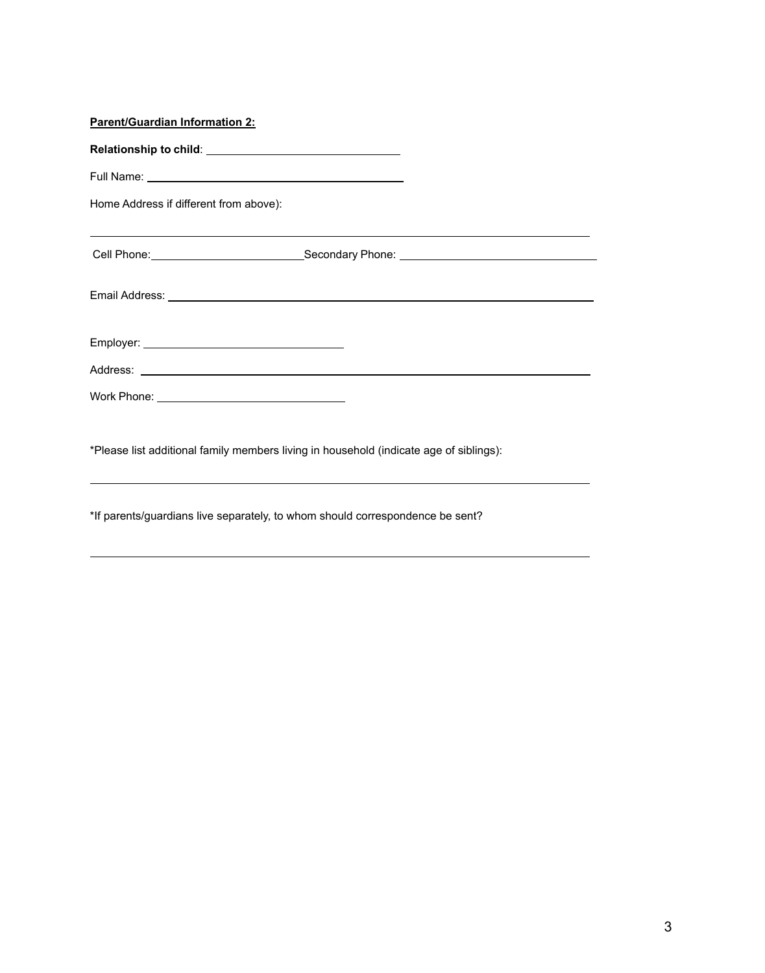| <b>Parent/Guardian Information 2:</b>                                                                                                                                                                                          |  |
|--------------------------------------------------------------------------------------------------------------------------------------------------------------------------------------------------------------------------------|--|
|                                                                                                                                                                                                                                |  |
|                                                                                                                                                                                                                                |  |
| Home Address if different from above):                                                                                                                                                                                         |  |
| Cell Phone: Call Phone: Cell Phone: Cell Phone: Cell Phone: Cell Phone: Cell Phone: Cell Phone: Cell Phone: Cell Phone: Cell Phone: Cell Phone: Cell Phone: Cell Phone: Cell Phone: Cell Phone: Cell Phone: Cell Phone: Cell P |  |
|                                                                                                                                                                                                                                |  |
|                                                                                                                                                                                                                                |  |
|                                                                                                                                                                                                                                |  |
|                                                                                                                                                                                                                                |  |
|                                                                                                                                                                                                                                |  |

\*Please list additional family members living in household (indicate age of siblings):

\*If parents/guardians live separately, to whom should correspondence be sent?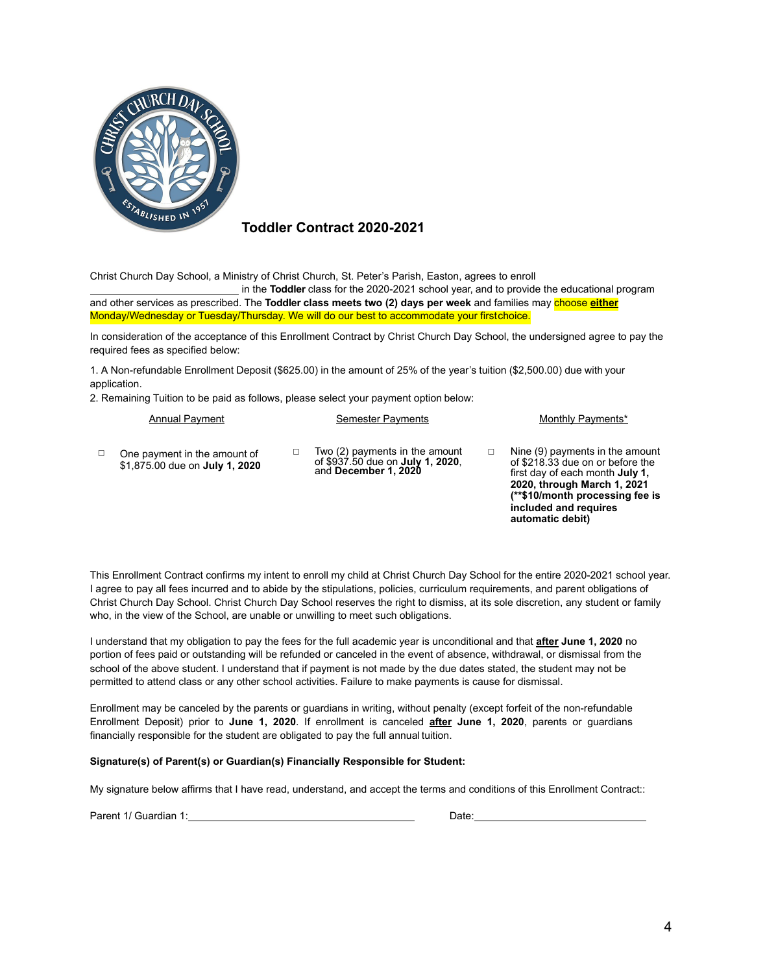

### **Toddler Contract 2020-2021**

Christ Church Day School, a Ministry of Christ Church, St. Peter's Parish, Easton, agrees to enroll

 in the **Toddler** class for the 2020-2021 school year, and to provide the educational program and other services as prescribed. The **Toddler class meets two (2) days per week** and families may choose **either** Monday/Wednesday or Tuesday/Thursday. We will do our best to accommodate your firstchoice.

In consideration of the acceptance of this Enrollment Contract by Christ Church Day School, the undersigned agree to pay the required fees as specified below:

1. A Non-refundable Enrollment Deposit (\$625.00) in the amount of 25% of the year's tuition (\$2,500.00) due with your application.

2. Remaining Tuition to be paid as follows, please select your payment option below:

| <b>Annual Payment</b> |  |
|-----------------------|--|
|-----------------------|--|

Semester Payments Monthly Payments\*

 $\Box$  One payment in the amount of \$1,875.00 due on **July 1, 2020** 

- $\Box$  Two (2) payments in the amount of \$937.50 due on **July 1, 2020**, and **December 1, <sup>2020</sup>**
- $\Box$  Nine (9) payments in the amount of \$218.33 due on or before the first day of each month **July 1, 2020, through March 1, 2021 (\*\*\$10/month processing fee is included and requires automatic debit)**

This Enrollment Contract confirms my intent to enroll my child at Christ Church Day School for the entire 2020-2021 school year. I agree to pay all fees incurred and to abide by the stipulations, policies, curriculum requirements, and parent obligations of Christ Church Day School. Christ Church Day School reserves the right to dismiss, at its sole discretion, any student or family who, in the view of the School, are unable or unwilling to meet such obligations.

I understand that my obligation to pay the fees for the full academic year is unconditional and that **after June 1, 2020** no portion of fees paid or outstanding will be refunded or canceled in the event of absence, withdrawal, or dismissal from the school of the above student. I understand that if payment is not made by the due dates stated, the student may not be permitted to attend class or any other school activities. Failure to make payments is cause for dismissal.

Enrollment may be canceled by the parents or guardians in writing, without penalty (except forfeit of the non-refundable Enrollment Deposit) prior to **June 1, 2020**. If enrollment is canceled **after June 1, 2020**, parents or guardians financially responsible for the student are obligated to pay the full annual tuition.

#### **Signature(s) of Parent(s) or Guardian(s) Financially Responsible for Student:**

My signature below affirms that I have read, understand, and accept the terms and conditions of this Enrollment Contract::

Parent 1/ Guardian 1: **Date:** Date: **Date:** Date: **Date: Date: Date: Date: Date: Date: Date: Date: Date: Date: Date: Date: Date: Date: Date: Date: Date: Date: Date: Date: Date: Dat**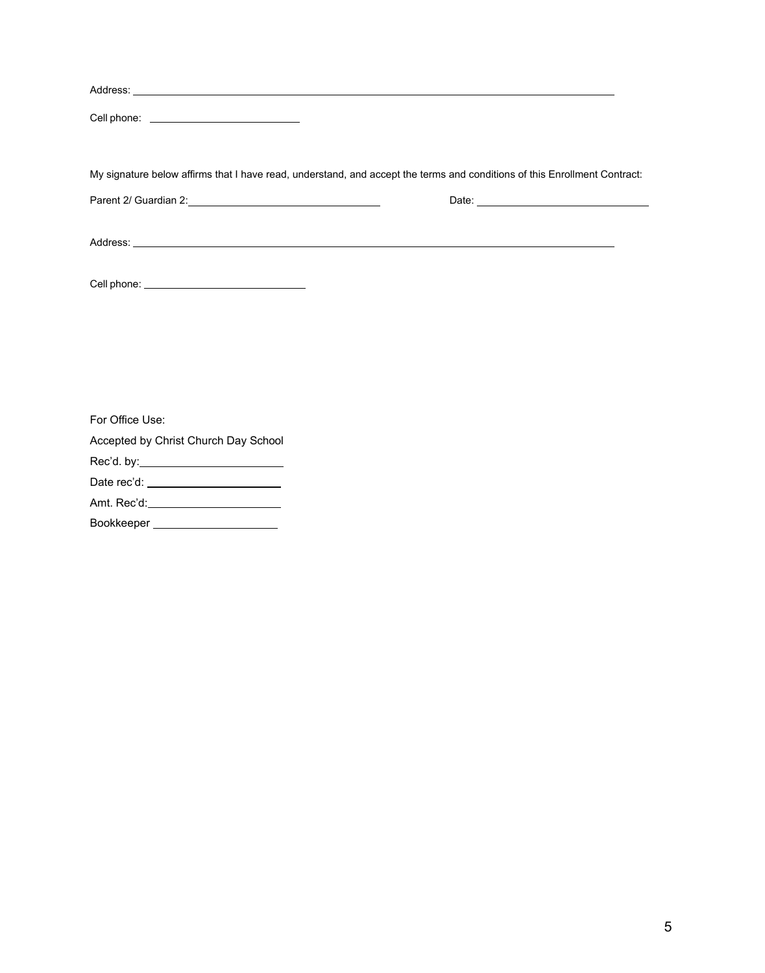| Cell phone: ____________________________ |                                                                                                                           |
|------------------------------------------|---------------------------------------------------------------------------------------------------------------------------|
|                                          | My signature below affirms that I have read, understand, and accept the terms and conditions of this Enrollment Contract: |
|                                          |                                                                                                                           |
|                                          |                                                                                                                           |
|                                          |                                                                                                                           |
|                                          |                                                                                                                           |
|                                          |                                                                                                                           |
|                                          |                                                                                                                           |
| For Office Use:                          |                                                                                                                           |

Accepted by Christ Church Day School Rec'd. by: Date rec'd: Amt. Rec'd: Bookkeeper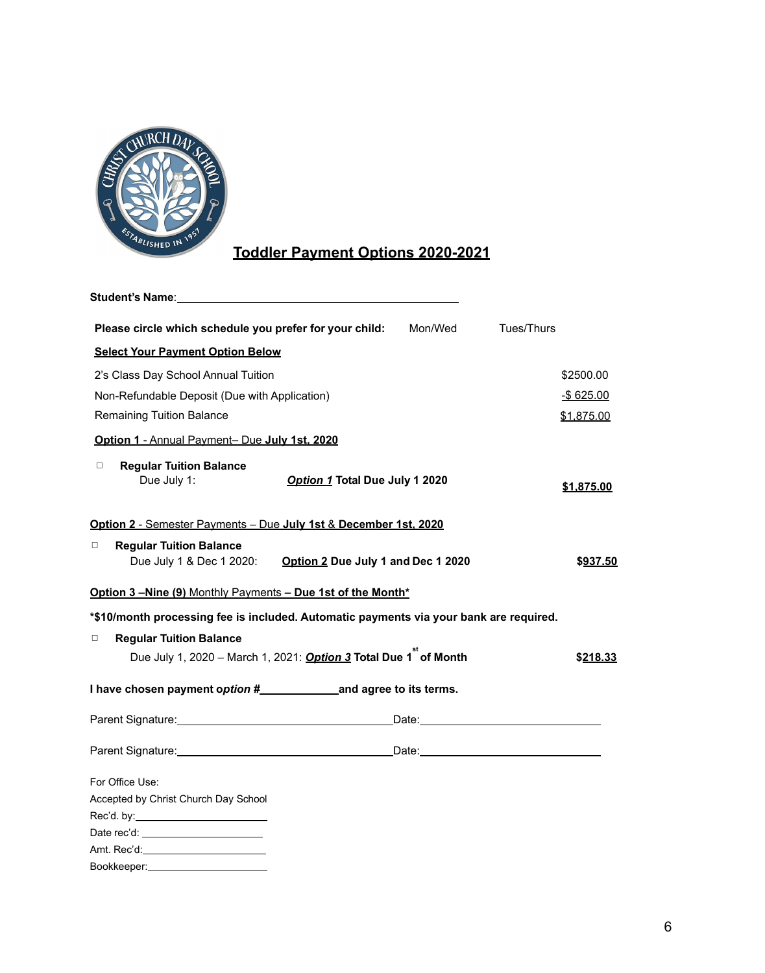

# **Toddler Payment Options 2020-2021**

| Student's Name: Student's Name:                                      |                                                                                        |              |
|----------------------------------------------------------------------|----------------------------------------------------------------------------------------|--------------|
| Please circle which schedule you prefer for your child:              | Mon/Wed                                                                                | Tues/Thurs   |
| <b>Select Your Payment Option Below</b>                              |                                                                                        |              |
| 2's Class Day School Annual Tuition                                  |                                                                                        | \$2500.00    |
| Non-Refundable Deposit (Due with Application)                        |                                                                                        | $-$ \$625.00 |
| <b>Remaining Tuition Balance</b>                                     |                                                                                        | \$1,875.00   |
| Option 1 - Annual Payment- Due July 1st, 2020                        |                                                                                        |              |
| $\Box$<br><b>Regular Tuition Balance</b>                             |                                                                                        |              |
| Due July 1:                                                          | Option 1 Total Due July 1 2020                                                         | \$1,875.00   |
| Option 2 - Semester Payments - Due July 1st & December 1st, 2020     |                                                                                        |              |
|                                                                      |                                                                                        |              |
| <b>Regular Tuition Balance</b><br>$\Box$<br>Due July 1 & Dec 1 2020: | Option 2 Due July 1 and Dec 1 2020                                                     | \$937.50     |
| Option 3-Nine (9) Monthly Payments - Due 1st of the Month*           |                                                                                        |              |
|                                                                      | *\$10/month processing fee is included. Automatic payments via your bank are required. |              |
| <b>Regular Tuition Balance</b><br>$\Box$                             |                                                                                        |              |
|                                                                      | Due July 1, 2020 - March 1, 2021: <b>Option 3 Total Due 1<sup>"</sup> of Month</b>     | \$218.33     |
|                                                                      |                                                                                        |              |
|                                                                      |                                                                                        |              |
|                                                                      |                                                                                        |              |
| For Office Use:                                                      |                                                                                        |              |
| Accepted by Christ Church Day School                                 |                                                                                        |              |
| Rec'd. by:____________________________                               |                                                                                        |              |
|                                                                      |                                                                                        |              |
|                                                                      |                                                                                        |              |
| Bookkeeper:__________________________                                |                                                                                        |              |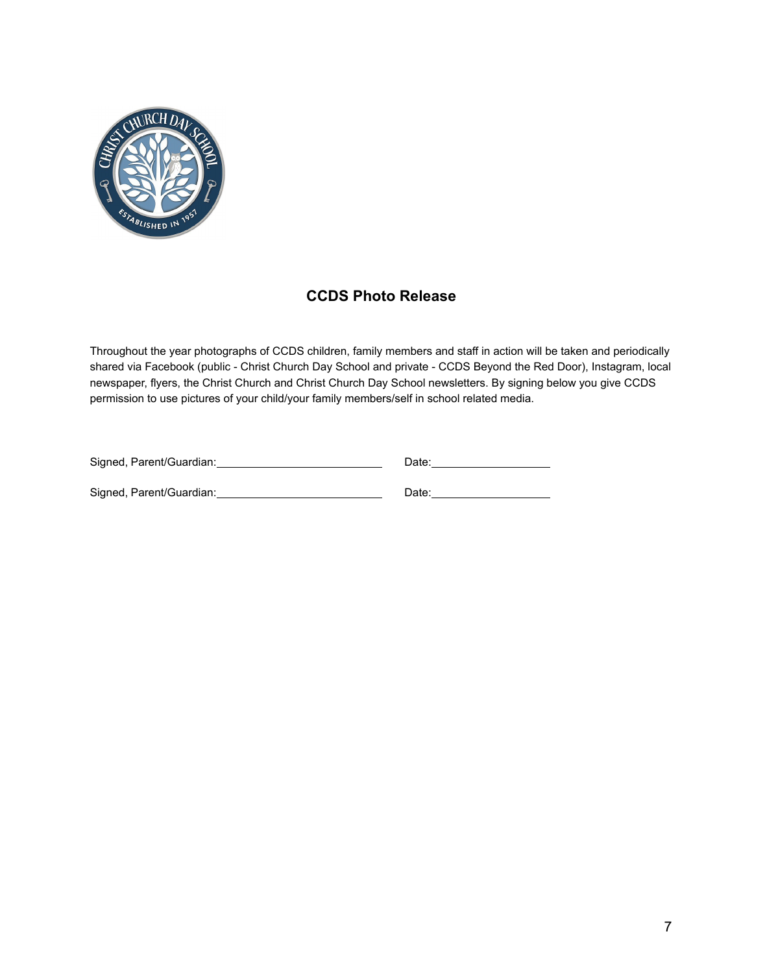

## **CCDS Photo Release**

Throughout the year photographs of CCDS children, family members and staff in action will be taken and periodically shared via Facebook (public - Christ Church Day School and private - CCDS Beyond the Red Door), Instagram, local newspaper, flyers, the Christ Church and Christ Church Day School newsletters. By signing below you give CCDS permission to use pictures of your child/your family members/self in school related media.

| Signed, Parent/Guardian: | Date: |
|--------------------------|-------|
| Signed, Parent/Guardian: | Date: |